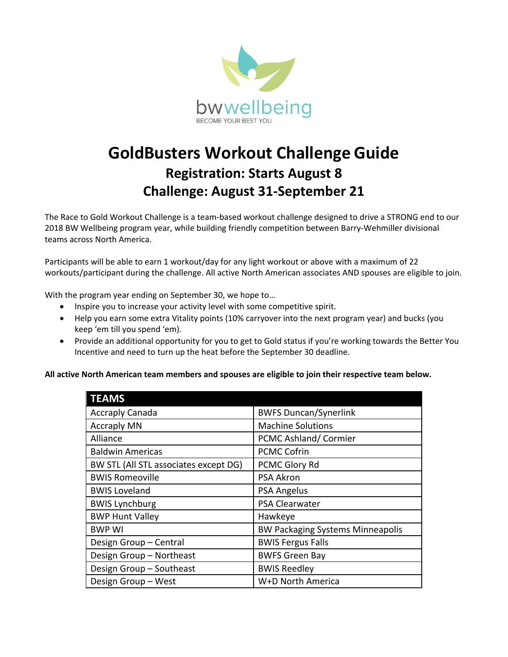

## **GoldBusters Workout Challenge Guide Registration: Starts August 8 Challenge: August 31-September 21**

The Race to Gold Workout Challenge is a team-based workout challenge designed to drive a STRONG end to our 2018 BW Wellbeing program year, while building friendly competition between Barry-Wehmiller divisional teams across North America.

Participants will be able to earn 1 workout/day for any light workout or above with a maximum of 22 workouts/participant during the challenge. All active North American associates AND spouses are eligible to join.

With the program year ending on September 30, we hope to…

- Inspire you to increase your activity level with some competitive spirit.
- Help you earn some extra Vitality points (10% carryover into the next program year) and bucks (you keep 'em till you spend 'em).
- Provide an additional opportunity for you to get to Gold status if you're working towards the Better You Incentive and need to turn up the heat before the September 30 deadline.

**All active North American team members and spouses are eligible to join their respective team below.**

| <b>TEAMS</b>                          |                                         |
|---------------------------------------|-----------------------------------------|
| <b>Accraply Canada</b>                | <b>BWFS Duncan/Synerlink</b>            |
| <b>Accraply MN</b>                    | <b>Machine Solutions</b>                |
| Alliance                              | PCMC Ashland/Cormier                    |
| <b>Baldwin Americas</b>               | <b>PCMC Cofrin</b>                      |
| BW STL (All STL associates except DG) | PCMC Glory Rd                           |
| <b>BWIS Romeoville</b>                | <b>PSA Akron</b>                        |
| <b>BWIS Loveland</b>                  | <b>PSA Angelus</b>                      |
| <b>BWIS Lynchburg</b>                 | <b>PSA Clearwater</b>                   |
| <b>BWP Hunt Valley</b>                | Hawkeye                                 |
| <b>BWP WI</b>                         | <b>BW Packaging Systems Minneapolis</b> |
| Design Group - Central                | <b>BWIS Fergus Falls</b>                |
| Design Group - Northeast              | <b>BWFS Green Bay</b>                   |
| Design Group - Southeast              | <b>BWIS Reedley</b>                     |
| Design Group - West                   | W+D North America                       |